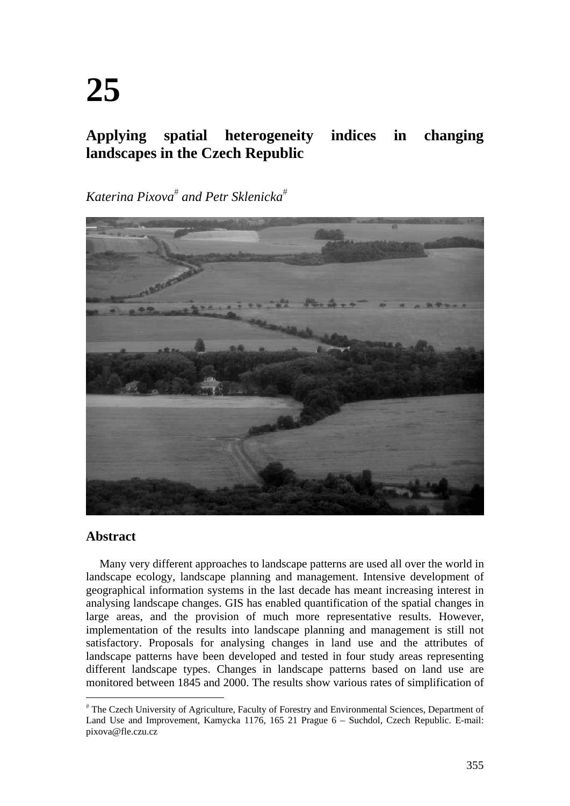# **Applying spatial heterogeneity indices in changing landscapes in the Czech Republic**

*Katerina Pixova and Petr Sklenicka*



### **Abstract**

Many very different approaches to landscape patterns are used all over the world in landscape ecology, landscape planning and management. Intensive development of geographical information systems in the last decade has meant increasing interest in analysing landscape changes. GIS has enabled quantification of the spatial changes in large areas, and the provision of much more representative results. However, implementation of the results into landscape planning and management is still not satisfactory. Proposals for analysing changes in land use and the attributes of landscape patterns have been developed and tested in four study areas representing different landscape types. Changes in landscape patterns based on land use are monitored between 1845 and 2000. The results show various rates of simplification of

 The Czech University of Agriculture, Faculty of Forestry and Environmental Sciences, Department of Land Use and Improvement, Kamycka 1176, 165 21 Prague 6 – Suchdol, Czech Republic. E-mail: pixova@fle.czu.cz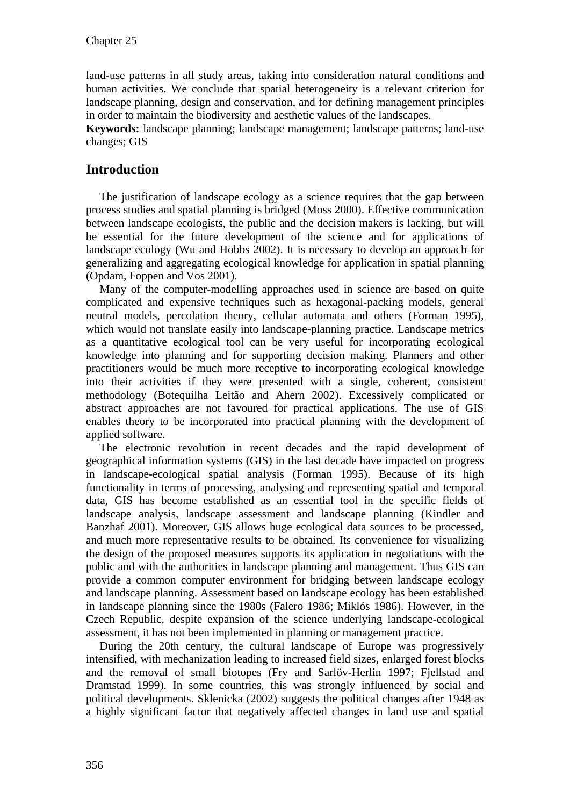land-use patterns in all study areas, taking into consideration natural conditions and human activities. We conclude that spatial heterogeneity is a relevant criterion for landscape planning, design and conservation, and for defining management principles in order to maintain the biodiversity and aesthetic values of the landscapes.

**Keywords:** landscape planning; landscape management; landscape patterns; land-use changes; GIS

# **Introduction**

The justification of landscape ecology as a science requires that the gap between process studies and spatial planning is bridged (Moss 2000). Effective communication between landscape ecologists, the public and the decision makers is lacking, but will be essential for the future development of the science and for applications of landscape ecology (Wu and Hobbs 2002). It is necessary to develop an approach for generalizing and aggregating ecological knowledge for application in spatial planning (Opdam, Foppen and Vos 2001).

Many of the computer-modelling approaches used in science are based on quite complicated and expensive techniques such as hexagonal-packing models, general neutral models, percolation theory, cellular automata and others (Forman 1995), which would not translate easily into landscape-planning practice. Landscape metrics as a quantitative ecological tool can be very useful for incorporating ecological knowledge into planning and for supporting decision making. Planners and other practitioners would be much more receptive to incorporating ecological knowledge into their activities if they were presented with a single, coherent, consistent methodology (Botequilha Leitão and Ahern 2002). Excessively complicated or abstract approaches are not favoured for practical applications. The use of GIS enables theory to be incorporated into practical planning with the development of applied software.

The electronic revolution in recent decades and the rapid development of geographical information systems (GIS) in the last decade have impacted on progress in landscape-ecological spatial analysis (Forman 1995). Because of its high functionality in terms of processing, analysing and representing spatial and temporal data, GIS has become established as an essential tool in the specific fields of landscape analysis, landscape assessment and landscape planning (Kindler and Banzhaf 2001). Moreover, GIS allows huge ecological data sources to be processed, and much more representative results to be obtained. Its convenience for visualizing the design of the proposed measures supports its application in negotiations with the public and with the authorities in landscape planning and management. Thus GIS can provide a common computer environment for bridging between landscape ecology and landscape planning. Assessment based on landscape ecology has been established in landscape planning since the 1980s (Falero 1986; Miklós 1986). However, in the Czech Republic, despite expansion of the science underlying landscape-ecological assessment, it has not been implemented in planning or management practice.

During the 20th century, the cultural landscape of Europe was progressively intensified, with mechanization leading to increased field sizes, enlarged forest blocks and the removal of small biotopes (Fry and Sarlöv-Herlin 1997; Fjellstad and Dramstad 1999). In some countries, this was strongly influenced by social and political developments. Sklenicka (2002) suggests the political changes after 1948 as a highly significant factor that negatively affected changes in land use and spatial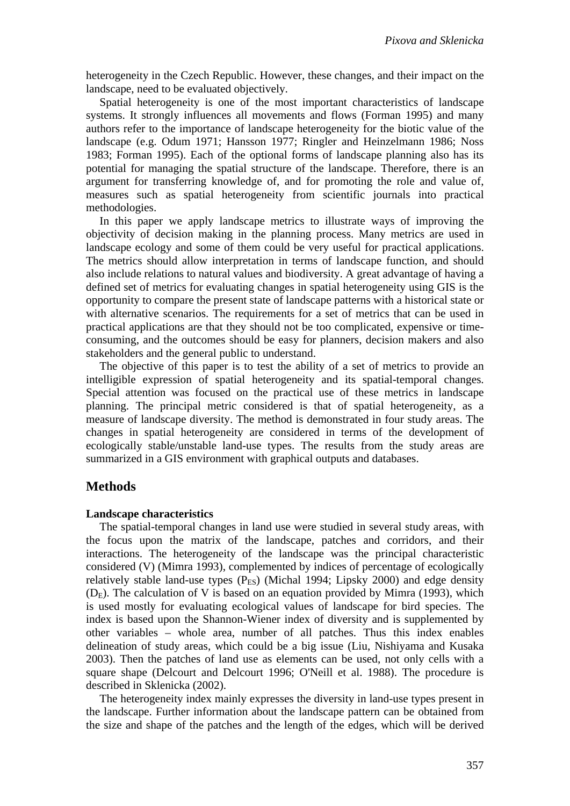heterogeneity in the Czech Republic. However, these changes, and their impact on the landscape, need to be evaluated objectively.

Spatial heterogeneity is one of the most important characteristics of landscape systems. It strongly influences all movements and flows (Forman 1995) and many authors refer to the importance of landscape heterogeneity for the biotic value of the landscape (e.g. Odum 1971; Hansson 1977; Ringler and Heinzelmann 1986; Noss 1983; Forman 1995). Each of the optional forms of landscape planning also has its potential for managing the spatial structure of the landscape. Therefore, there is an argument for transferring knowledge of, and for promoting the role and value of, measures such as spatial heterogeneity from scientific journals into practical methodologies.

In this paper we apply landscape metrics to illustrate ways of improving the objectivity of decision making in the planning process. Many metrics are used in landscape ecology and some of them could be very useful for practical applications. The metrics should allow interpretation in terms of landscape function, and should also include relations to natural values and biodiversity. A great advantage of having a defined set of metrics for evaluating changes in spatial heterogeneity using GIS is the opportunity to compare the present state of landscape patterns with a historical state or with alternative scenarios. The requirements for a set of metrics that can be used in practical applications are that they should not be too complicated, expensive or timeconsuming, and the outcomes should be easy for planners, decision makers and also stakeholders and the general public to understand.

The objective of this paper is to test the ability of a set of metrics to provide an intelligible expression of spatial heterogeneity and its spatial-temporal changes. Special attention was focused on the practical use of these metrics in landscape planning. The principal metric considered is that of spatial heterogeneity, as a measure of landscape diversity. The method is demonstrated in four study areas. The changes in spatial heterogeneity are considered in terms of the development of ecologically stable/unstable land-use types. The results from the study areas are summarized in a GIS environment with graphical outputs and databases.

## **Methods**

#### **Landscape characteristics**

The spatial-temporal changes in land use were studied in several study areas, with the focus upon the matrix of the landscape, patches and corridors, and their interactions. The heterogeneity of the landscape was the principal characteristic considered (V) (Mimra 1993), complemented by indices of percentage of ecologically relatively stable land-use types  $(P_{ES})$  (Michal 1994; Lipsky 2000) and edge density  $(D<sub>E</sub>)$ . The calculation of V is based on an equation provided by Mimra (1993), which is used mostly for evaluating ecological values of landscape for bird species. The index is based upon the Shannon-Wiener index of diversity and is supplemented by other variables – whole area, number of all patches. Thus this index enables delineation of study areas, which could be a big issue (Liu, Nishiyama and Kusaka 2003). Then the patches of land use as elements can be used, not only cells with a square shape (Delcourt and Delcourt 1996; O'Neill et al. 1988). The procedure is described in Sklenicka (2002).

The heterogeneity index mainly expresses the diversity in land-use types present in the landscape. Further information about the landscape pattern can be obtained from the size and shape of the patches and the length of the edges, which will be derived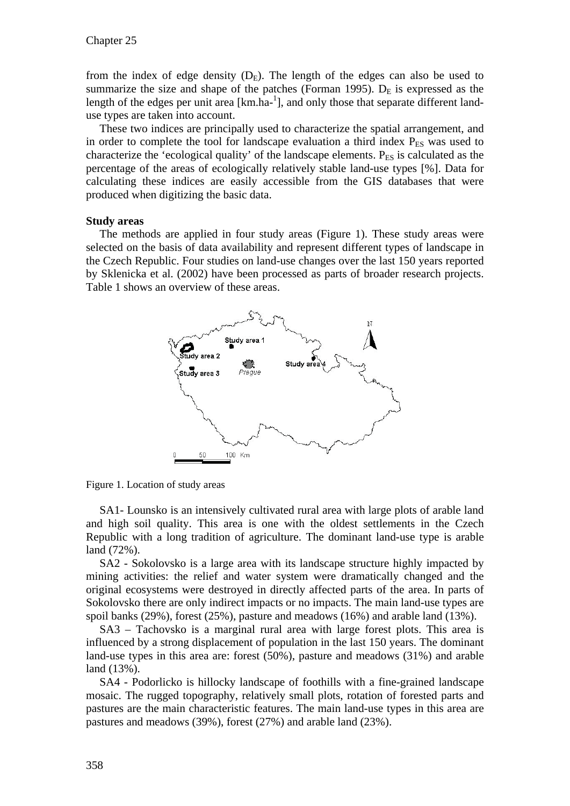from the index of edge density  $(D_E)$ . The length of the edges can also be used to summarize the size and shape of the patches (Forman 1995).  $D<sub>E</sub>$  is expressed as the length of the edges per unit area  $[km.ha^{-1}]$ , and only those that separate different landuse types are taken into account.

These two indices are principally used to characterize the spatial arrangement, and in order to complete the tool for landscape evaluation a third index  $P_{ES}$  was used to characterize the 'ecological quality' of the landscape elements.  $P_{ES}$  is calculated as the percentage of the areas of ecologically relatively stable land-use types [%]. Data for calculating these indices are easily accessible from the GIS databases that were produced when digitizing the basic data.

#### **Study areas**

The methods are applied in four study areas (Figure 1). These study areas were selected on the basis of data availability and represent different types of landscape in the Czech Republic. Four studies on land-use changes over the last 150 years reported by Sklenicka et al. (2002) have been processed as parts of broader research projects. Table 1 shows an overview of these areas.



Figure 1. Location of study areas

SA1- Lounsko is an intensively cultivated rural area with large plots of arable land and high soil quality. This area is one with the oldest settlements in the Czech Republic with a long tradition of agriculture. The dominant land-use type is arable land (72%).

SA2 - Sokolovsko is a large area with its landscape structure highly impacted by mining activities: the relief and water system were dramatically changed and the original ecosystems were destroyed in directly affected parts of the area. In parts of Sokolovsko there are only indirect impacts or no impacts. The main land-use types are spoil banks (29%), forest (25%), pasture and meadows (16%) and arable land (13%).

SA3 – Tachovsko is a marginal rural area with large forest plots. This area is influenced by a strong displacement of population in the last 150 years. The dominant land-use types in this area are: forest (50%), pasture and meadows (31%) and arable land (13%).

SA4 - Podorlicko is hillocky landscape of foothills with a fine-grained landscape mosaic. The rugged topography, relatively small plots, rotation of forested parts and pastures are the main characteristic features. The main land-use types in this area are pastures and meadows (39%), forest (27%) and arable land (23%).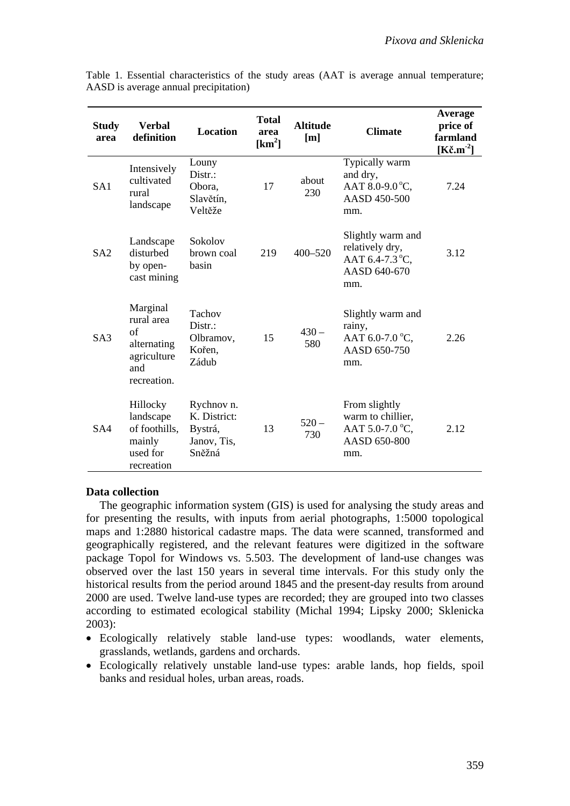| <b>Study</b><br>area | <b>Verbal</b><br>definition                                                      | <b>Location</b>                                                | <b>Total</b><br>area<br>$[km^2]$ | <b>Altitude</b><br>[m] | <b>Climate</b>                                                                         | Average<br>price of<br>farmland<br>[ $K\check{c}$ .m <sup>-2</sup> ] |
|----------------------|----------------------------------------------------------------------------------|----------------------------------------------------------------|----------------------------------|------------------------|----------------------------------------------------------------------------------------|----------------------------------------------------------------------|
| SA1                  | Intensively<br>cultivated<br>rural<br>landscape                                  | Louny<br>Distr.:<br>Obora,<br>Slavětín,<br>Veltěže             | 17                               | about<br>230           | Typically warm<br>and dry,<br>AAT 8.0-9.0 $^{\circ}$ C,<br>AASD 450-500<br>mm.         | 7.24                                                                 |
| SA2                  | Landscape<br>disturbed<br>by open-<br>cast mining                                | Sokolov<br>brown coal<br>basin                                 | 219                              | $400 - 520$            | Slightly warm and<br>relatively dry,<br>AAT 6.4-7.3 °C,<br>AASD 640-670<br>mm.         | 3.12                                                                 |
| S <sub>A3</sub>      | Marginal<br>rural area<br>of<br>alternating<br>agriculture<br>and<br>recreation. | Tachov<br>$Dist.$ :<br>Olbramov,<br>Kořen,<br>Zádub            | 15                               | $430 -$<br>580         | Slightly warm and<br>rainy,<br>AAT 6.0-7.0 °C,<br>AASD 650-750<br>mm.                  | 2.26                                                                 |
| SA4                  | Hillocky<br>landscape<br>of foothills,<br>mainly<br>used for<br>recreation       | Rychnov n.<br>K. District:<br>Bystrá,<br>Janov, Tis,<br>Sněžná | 13                               | $520 -$<br>730         | From slightly<br>warm to chillier,<br>AAT 5.0-7.0 $^{\circ}$ C,<br>AASD 650-800<br>mm. | 2.12                                                                 |

Table 1. Essential characteristics of the study areas (AAT is average annual temperature; AASD is average annual precipitation)

#### **Data collection**

The geographic information system (GIS) is used for analysing the study areas and for presenting the results, with inputs from aerial photographs, 1:5000 topological maps and 1:2880 historical cadastre maps. The data were scanned, transformed and geographically registered, and the relevant features were digitized in the software package Topol for Windows vs. 5.503. The development of land-use changes was observed over the last 150 years in several time intervals. For this study only the historical results from the period around 1845 and the present-day results from around 2000 are used. Twelve land-use types are recorded; they are grouped into two classes according to estimated ecological stability (Michal 1994; Lipsky 2000; Sklenicka 2003):

- Ecologically relatively stable land-use types: woodlands, water elements, grasslands, wetlands, gardens and orchards.
- Ecologically relatively unstable land-use types: arable lands, hop fields, spoil banks and residual holes, urban areas, roads.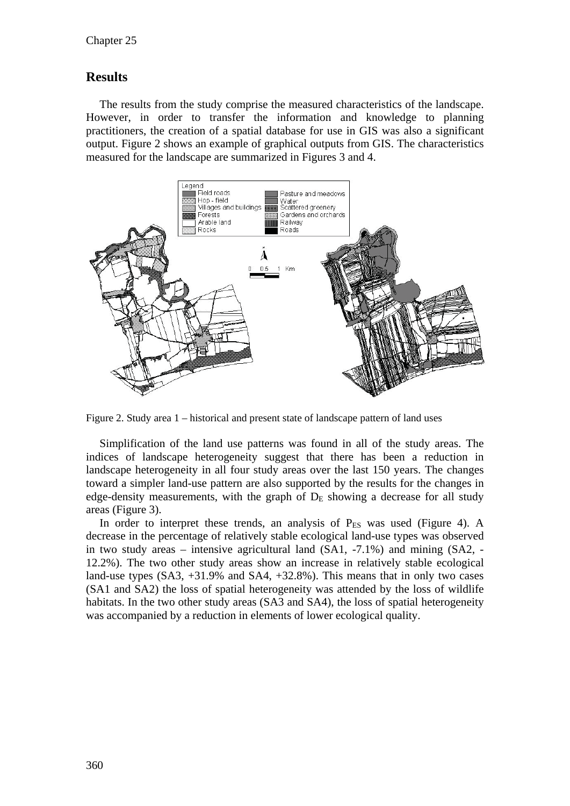# **Results**

The results from the study comprise the measured characteristics of the landscape. However, in order to transfer the information and knowledge to planning practitioners, the creation of a spatial database for use in GIS was also a significant output. Figure 2 shows an example of graphical outputs from GIS. The characteristics measured for the landscape are summarized in Figures 3 and 4.



Figure 2. Study area 1 – historical and present state of landscape pattern of land uses

Simplification of the land use patterns was found in all of the study areas. The indices of landscape heterogeneity suggest that there has been a reduction in landscape heterogeneity in all four study areas over the last 150 years. The changes toward a simpler land-use pattern are also supported by the results for the changes in edge-density measurements, with the graph of  $D<sub>E</sub>$  showing a decrease for all study areas (Figure 3).

In order to interpret these trends, an analysis of  $P_{ES}$  was used (Figure 4). A decrease in the percentage of relatively stable ecological land-use types was observed in two study areas – intensive agricultural land (SA1, -7.1%) and mining (SA2, - 12.2%). The two other study areas show an increase in relatively stable ecological land-use types (SA3, +31.9% and SA4, +32.8%). This means that in only two cases (SA1 and SA2) the loss of spatial heterogeneity was attended by the loss of wildlife habitats. In the two other study areas (SA3 and SA4), the loss of spatial heterogeneity was accompanied by a reduction in elements of lower ecological quality.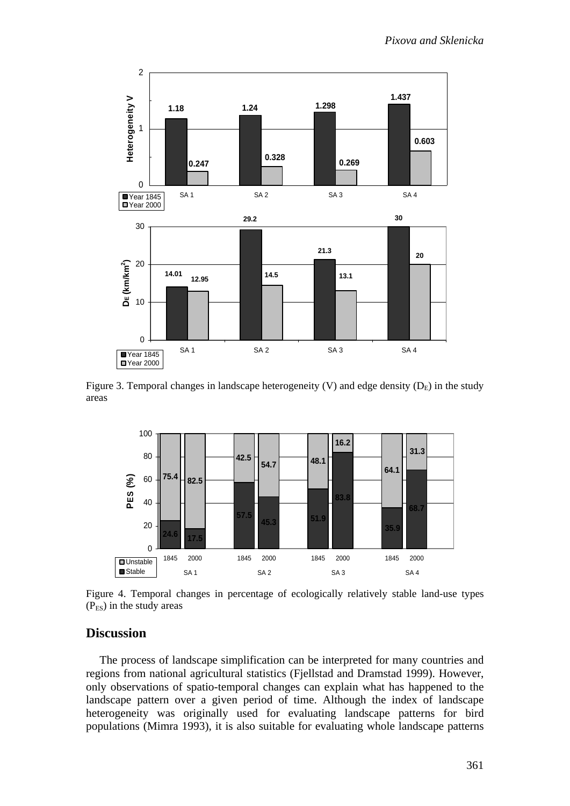

Figure 3. Temporal changes in landscape heterogeneity (V) and edge density  $(D_E)$  in the study areas



Figure 4. Temporal changes in percentage of ecologically relatively stable land-use types  $(P_{ES})$  in the study areas

#### **Discussion**

The process of landscape simplification can be interpreted for many countries and regions from national agricultural statistics (Fjellstad and Dramstad 1999). However, only observations of spatio-temporal changes can explain what has happened to the landscape pattern over a given period of time. Although the index of landscape heterogeneity was originally used for evaluating landscape patterns for bird populations (Mimra 1993), it is also suitable for evaluating whole landscape patterns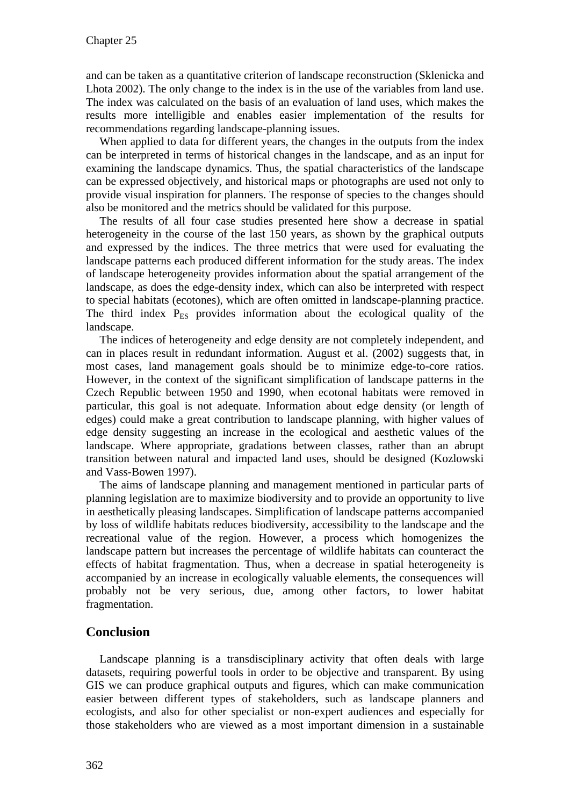and can be taken as a quantitative criterion of landscape reconstruction (Sklenicka and Lhota 2002). The only change to the index is in the use of the variables from land use. The index was calculated on the basis of an evaluation of land uses, which makes the results more intelligible and enables easier implementation of the results for recommendations regarding landscape-planning issues.

When applied to data for different years, the changes in the outputs from the index can be interpreted in terms of historical changes in the landscape, and as an input for examining the landscape dynamics. Thus, the spatial characteristics of the landscape can be expressed objectively, and historical maps or photographs are used not only to provide visual inspiration for planners. The response of species to the changes should also be monitored and the metrics should be validated for this purpose.

The results of all four case studies presented here show a decrease in spatial heterogeneity in the course of the last 150 years, as shown by the graphical outputs and expressed by the indices. The three metrics that were used for evaluating the landscape patterns each produced different information for the study areas. The index of landscape heterogeneity provides information about the spatial arrangement of the landscape, as does the edge-density index, which can also be interpreted with respect to special habitats (ecotones), which are often omitted in landscape-planning practice. The third index  $P_{ES}$  provides information about the ecological quality of the landscape.

The indices of heterogeneity and edge density are not completely independent, and can in places result in redundant information. August et al. (2002) suggests that, in most cases, land management goals should be to minimize edge-to-core ratios. However, in the context of the significant simplification of landscape patterns in the Czech Republic between 1950 and 1990, when ecotonal habitats were removed in particular, this goal is not adequate. Information about edge density (or length of edges) could make a great contribution to landscape planning, with higher values of edge density suggesting an increase in the ecological and aesthetic values of the landscape. Where appropriate, gradations between classes, rather than an abrupt transition between natural and impacted land uses, should be designed (Kozlowski and Vass-Bowen 1997).

The aims of landscape planning and management mentioned in particular parts of planning legislation are to maximize biodiversity and to provide an opportunity to live in aesthetically pleasing landscapes. Simplification of landscape patterns accompanied by loss of wildlife habitats reduces biodiversity, accessibility to the landscape and the recreational value of the region. However, a process which homogenizes the landscape pattern but increases the percentage of wildlife habitats can counteract the effects of habitat fragmentation. Thus, when a decrease in spatial heterogeneity is accompanied by an increase in ecologically valuable elements, the consequences will probably not be very serious, due, among other factors, to lower habitat fragmentation.

# **Conclusion**

Landscape planning is a transdisciplinary activity that often deals with large datasets, requiring powerful tools in order to be objective and transparent. By using GIS we can produce graphical outputs and figures, which can make communication easier between different types of stakeholders, such as landscape planners and ecologists, and also for other specialist or non-expert audiences and especially for those stakeholders who are viewed as a most important dimension in a sustainable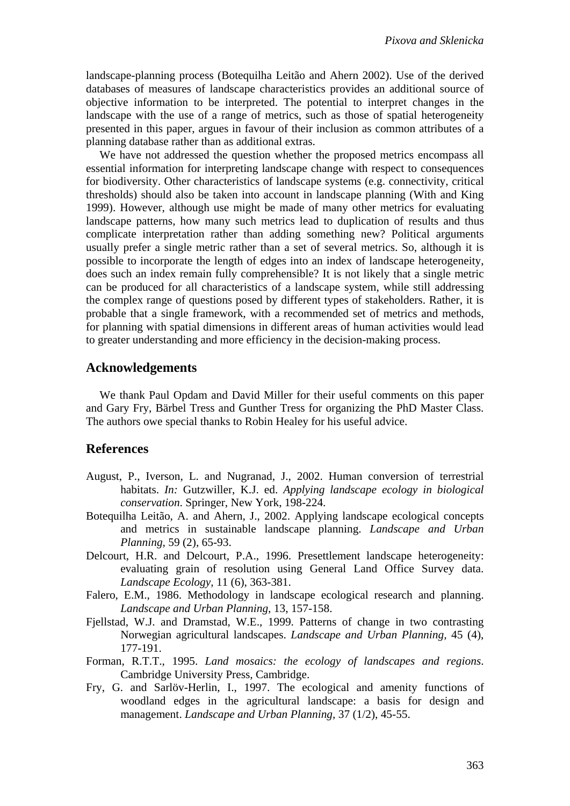landscape-planning process (Botequilha Leitão and Ahern 2002). Use of the derived databases of measures of landscape characteristics provides an additional source of objective information to be interpreted. The potential to interpret changes in the landscape with the use of a range of metrics, such as those of spatial heterogeneity presented in this paper, argues in favour of their inclusion as common attributes of a planning database rather than as additional extras.

We have not addressed the question whether the proposed metrics encompass all essential information for interpreting landscape change with respect to consequences for biodiversity. Other characteristics of landscape systems (e.g. connectivity, critical thresholds) should also be taken into account in landscape planning (With and King 1999). However, although use might be made of many other metrics for evaluating landscape patterns, how many such metrics lead to duplication of results and thus complicate interpretation rather than adding something new? Political arguments usually prefer a single metric rather than a set of several metrics. So, although it is possible to incorporate the length of edges into an index of landscape heterogeneity, does such an index remain fully comprehensible? It is not likely that a single metric can be produced for all characteristics of a landscape system, while still addressing the complex range of questions posed by different types of stakeholders. Rather, it is probable that a single framework, with a recommended set of metrics and methods, for planning with spatial dimensions in different areas of human activities would lead to greater understanding and more efficiency in the decision-making process.

### **Acknowledgements**

We thank Paul Opdam and David Miller for their useful comments on this paper and Gary Fry, Bärbel Tress and Gunther Tress for organizing the PhD Master Class. The authors owe special thanks to Robin Healey for his useful advice.

### **References**

- August, P., Iverson, L. and Nugranad, J., 2002. Human conversion of terrestrial habitats. *In:* Gutzwiller, K.J. ed. *Applying landscape ecology in biological conservation*. Springer, New York, 198-224.
- Botequilha Leitão, A. and Ahern, J., 2002. Applying landscape ecological concepts and metrics in sustainable landscape planning. *Landscape and Urban Planning,* 59 (2), 65-93.
- Delcourt, H.R. and Delcourt, P.A., 1996. Presettlement landscape heterogeneity: evaluating grain of resolution using General Land Office Survey data. *Landscape Ecology,* 11 (6), 363-381.
- Falero, E.M., 1986. Methodology in landscape ecological research and planning. *Landscape and Urban Planning,* 13, 157-158.
- Fjellstad, W.J. and Dramstad, W.E., 1999. Patterns of change in two contrasting Norwegian agricultural landscapes. *Landscape and Urban Planning,* 45 (4), 177-191.
- Forman, R.T.T., 1995. *Land mosaics: the ecology of landscapes and regions*. Cambridge University Press, Cambridge.
- Fry, G. and Sarlöv-Herlin, I., 1997. The ecological and amenity functions of woodland edges in the agricultural landscape: a basis for design and management. *Landscape and Urban Planning,* 37 (1/2), 45-55.